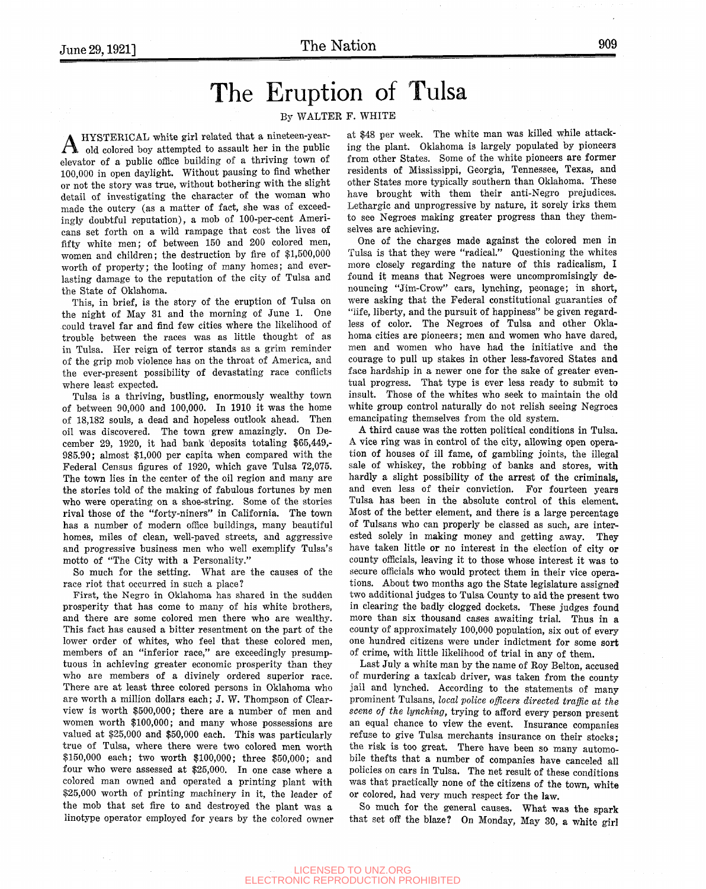## The Eruption of Tulsa

## By WALTER F. WHITE

A HYSTERICAL white girl related that a nineteen-year-<br>and colored boy attempted to assault her in the public HYSTERICAL white girl related that a nineteen-yearelevator of a public office building of a thriving town of 100,000 in open daylight. Without pausing to find whether or not the story was true, without bothering with the slight detail of investigating the character of the woman who made the outcry (as a matter of fact, she was of exceedingly doubtful reputation), a mob of 100-per-cent Americans set forth on a wild rampage that cost the lives of fifty white men; of between 150 and 200 colored men, women and children; the destruction by fire of \$1,500,000 worth of property; the looting of many homes; and everlasting damage to the reputation of the city of Tulsa and the State of Oklahoma.

This, in brief, is the story of the eruption of Tulsa on the night of May 31 and the morning of June 1. One could travel far and find few cities where the likelihood of trouble between the races was as little thought of as in Tulsa. Her reign of terror stands as a grim reminder of the grip mob violence has on the throat of America, and the ever-present possibility of devastating race conflicts where least expected.

Tulsa is a thriving, bustling, enormously wealthy town of between 90,000 and 100,000. In 1910 it was the home of 18,182 souls, a dead and hopeless outlook ahead. Then oil was discovered. The town grew amazingly. On December 29, 1920, it had bank deposits totaling \$65,449,- 985.90; almost \$1,000 per capita when compared with the Federal Census figures of 1920, which gave Tulsa 72,075. The town lies in the center of the oil region and many are the stories told of the making of fabulous fortunes by men who were operating on a shoe-string. Some of the stories rival those of the "forty-niners" in California. The town has a number of modem office buildings, many beautiful homes, miles of clean, well-paved streets, and aggressive and progressive business men who well exemplify Tulsa's motto of "The City with a Personality."

So much for the setting. What are the causes of the race riot that occurred in such a place?

First, the Negro in Oklahoma has shared in the sudden prosperity that has come to many of his white brothers, and there are some colored men there who are wealthy. This fact has caused a bitter resentment on the part of the lower order of whites, who feel that these colored men, members of an "inferior race," are exceedingly presumptuous in achieving greater economic prosperity than they who are members of a divinely ordered superior race. There are at least three colored persons in Oklahoma who are worth a million dollars each; J. W. Thompson of Clearview is worth \$500,000; there are a number of men and women worth \$100,000; and many whose possessions are valued at \$25,000 and \$50,000 each. This was particularly true of Tulsa, where there were two colored men worth \$150,000 each; two worth \$100,000; three \$50,000; and four who were assessed at \$25,000. In one case where a colored man owned and operated a printing plant with \$25,000 worth of printing machinery in it, the leader of the mob that set fire to and destroyed the plant was a linotype operator employed for years by the colored owner

at \$48 per week. The white man was killed while attacking the plant. Oklahoma is largely populated by pioneers from other States. Some of the white pioneers are former residents of Mississippi, Georgia, Tennessee, Texas, and other States more typically southern than Oklahoma. These have brought with them their anti-Negro prejudices. Lethargic and unprogressive by nature, it sorely irks them to see Negroes making greater progress than they themselves are achieving.

One of the charges made against the colored men in Tulsa is that they were "radical." Questioning the whites more closely regarding the nature of this radicalism, I found it means that Negroes were uncompromisingly denouncing "Jim-Crow" cars, lynching, peonage; in short, were asking that the Federal constitutional guaranties of "life, liberty, and the pursuit of happiness" be given regardless of color. The Negroes of Tulsa and other Oklahoma cities are pioneers; men and women who have dared, men and women who have had the initiative and the courage to pull up stakes in other less-favored States and face hardship in a newer one for the sake of greater eventual progress. That type is ever less ready to submit to insult. Those of the whites who seek to maintain the old white group control naturally do not relish seeing Negroes emancipating themselves from the old system.

A third cause was the rotten political conditions in Tulsa. A vice ring was in control of the city, allowing open operation of houses of ill fame, of gambling joints, the illegal sale of whiskey, the robbing of banks and stores, with hardly a slight possibility of the arrest of the criminals, and even less of their conviction. For fourteen years Tulsa has been in the absolute control of this element. Most of the better element, and there is a large percentage of Tulsans who can properly be classed as such, are interested solely in making money and getting away. They have taken little or no interest in the election of city or county officials, leaving it to those whose interest it was to secure officials who would protect them in their vice operations. About two months ago the State legislature assigned two additional judges to Tulsa County to aid the present two in clearing the badly clogged dockets. These judges found more than six thousand cases awaiting trial. Thus in a county of approximately 100,000 population, six out of every one hundred citizens were under indictment for some sort of crime, with little likelihood of trial in any of them.

Last July a white man by the name of Roy Belton, accused of murdering a taxicab driver, was taken from the county jail and lynched. According to the statements of many prominent Tulsans, *local police officers directed traffic at the scene of the lynching,* trying to afford every person present an equal chance to view the event. Insurance companies refuse to give Tulsa merchants insurance on their stocks; the risk is too great. There have been so many automobile thefts that a number of companies have canceled all policies on cars in Tulsa. The net result of these conditions was that practically none of the citizens of the town, white or colored, had very much respect for the law.

So much for the general causes. What was the spark that set off the blaze? On Monday, May 30, a white girl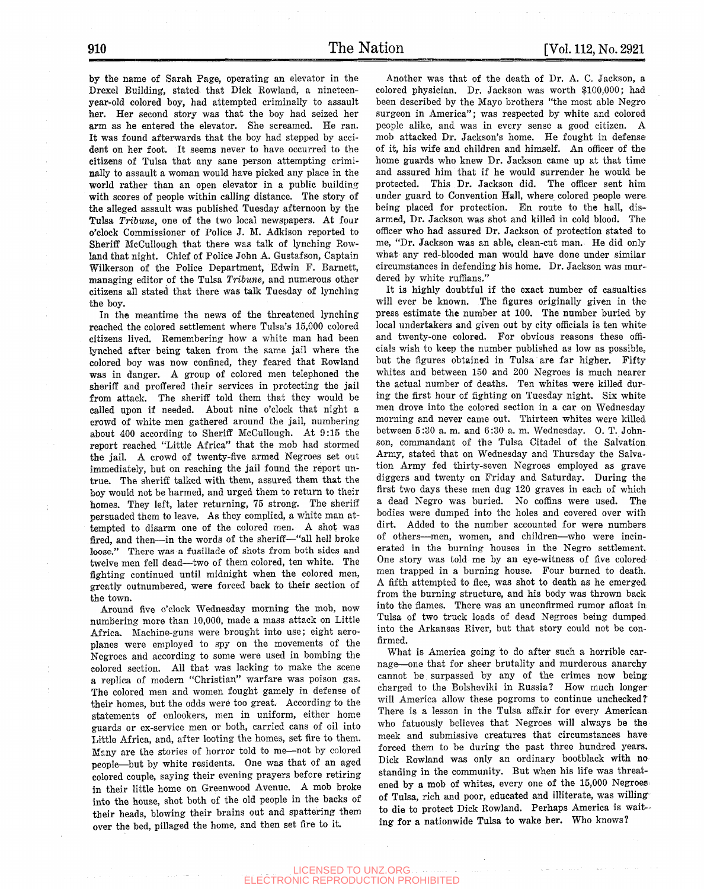by the name of Sarah Page, operating an elevator in the Drexel Building, stated that Dick Eowland, a nineteenyear-old colored boy, had attempted criminally to assault her. Her second story was that the boy had seized her arm as he entered the elevator. She screamed. He ran. It was found afterwards that the boy had stepped by accident on her foot. It seems never to have occurred to the citizens of Tulsa that any sane person attempting criminally to assault a woman would have picked any place in the world rather than an open elevator in a public building with scores of people within calling distance. The story of the alleged assault was published Tuesday afternoon by the Tulsa *Tribune,* one of the two local newspapers. At four o'clock Commissioner of Police J. M. Adkison reported to Sheriff McCullough that there was talk of lynching Rowland that night. Chief of Police John A. Gustafson, Captain Wilkerson of the Police Department, Edwin F. Bamett, managing editor of the Tulsa *Tribune,* and numerous other citizens all stated that there was talk Tuesday of lynching the boy.

In the meantime the news of the threatened lynching reached the colored settlement where Tulsa's 15,000 colored citizens lived. Remembering how a white man had been lynched after being taken from the same jail where the colored boy was now confined, they feared that Rowland was in danger. A group of colored men telephoned the sheriff and proffered their services in protecting the jail from attack. The sheriff told them that they would be called upon if needed. About nine o'clock that night a crowd of white men gathered around the jail, numbering about 400 according to Sheriff McCullough. At 9:15 the report reached "Little Africa" that the mob had stormed the jail. A crowd of twenty-five armed Negroes set out immediately, but on reaching the jail found the report untrue. The sheriff talked with them, assured them that the boy would not be harmed, and urged them to return to their homes. They left, later returning, 75 strong. The sheriff persuaded them to leave. As they complied, a white man attempted to disarm one of the colored men. A shot was fired, and then—in the words of the sheriff—"all hell broke loose." There was a fusillade of shots from both sides and twelve men fell dead—two of them colored, ten white. The fighting continued until midnight when the colored men, greatly outnumbered, were forced back to their section of the town.

Around five o'clock Wednesday morning the mob, now numbering more than 10,000, made a mass attack on Little Africa. Machine-guns were brought into use; eight aeroplanes were employed to spy on the movements of the Negroes and according to some were used in bombing the colored section. All that was lacking to make the scene a replica of modern "Christian" warfare was poison gas. The colored men and women fought gamely in defense of their homes, but the odds were too great. According to the statements of onlookers, men in uniform, either home guards or ex-service men or both, carried cans of oil into Little Africa, and, after looting the homes, set fire to them. Many are the stories of horror told to me—not by colored people—but by white residents. One was that of an aged colored couple, saying their evening prayers before retiring in their little home on Greenwood Avenue. A mob broke into the house, shot both of the old people in the backs of their heads, blowing their brains out and spattering them over the bed, pillaged the home, and then set fire to it.

Another was that of the death of Dr. A. C. Jackson, a colored physician. Dr. Jackson was worth \$100,000; had been described by the Mayo brothers "the most able Negro surgeon in America"; was respected by white and colored people alike, and was in every sense a good citizen. A mob attacked Dr. Jackson's home. He fought in defense of it, his wife and children and himself. An officer of the home guards who knew Dr. Jackson came up at that time and assured him that if he would surrender he would be protected. This Dr. Jackson did. The officer sent him under guard to Convention Hall, where colored people were being placed for protection. En route to the hall, disarmed, Dr. Jackson was shot and killed in cold blood. The officer who had assured Dr. Jackson of protection stated to me, "Dr. Jackson was an able, clean-cut man. He did only what any red-blooded man would have done under similar circumstances in defending his home. Dr. Jackson was murdered by white ruffians."

It is highly doubtful if the exact number of casualties will ever be known. The figures originally given in the press estimate the number at 100. The number buried by local undertakers and given out by city officials is ten white and twenty-one colored. For obvious reasons these officials wish to keep the number published as low as possible, but the figures obtained in Tulsa are far higher. Fifty whites and between 150 and 200 Negroes is much nearer the actual number of deaths. Ten whites were killed during the first hour of fighting on Tuesday night. Six white men drove into the colored section in a car on Wednesday morning and never came out. Thirteen whites were killed between 5:30 a. m. and 6:30 a. m. Wednesday. 0. T. Johnson, commandant of the Tulsa Citadel of the Salvation Army, stated that on Wednesday and Thursday the Salvation Army fed thirty-seven Negroes employed as grave diggers and twenty on Friday and Saturday. During the first two days these men dug 120 graves in each of which a dead Negro was buried. No coffins were used. The bodies were dumped into the holes and covered over with dirt. Added to the number accounted for were numbers of others—men, women, and children—who were incinerated in the burning houses in the Negro settlement. One story was told me by an eye-witness of five colored men trapped in a burning house. Four burned to death. A fifth attempted to flee, was shot to death as he emerged from the burning structure, and his body was thrown back into the flames. There was an unconfirmed rumor afloat in Tulsa of two truck loads of dead Negroes being dumped into the Arkansas River, but that story could not be confirmed.

What is America going to do after such a horrible carnage—one that for sheer brutality and murderous anarchy cannot be surpassed by any of the crimes now being charged to the Bolsheviki in Russia? How much longer will America allow these pogroms to continue unchecked? There is a lesson in the Tulsa affair for every American who fatuously believes that Negroes will always be the meek and submissive creatures that circumstances have forced them to be during the past three hundred years. Dick Rowland was only an ordinary bootblack with no standing in the community. But when his life was threatened by a mob of whites, every one of the 15,000 Negroes of Tulsa, rich and poor, educated and illiterate, was willing to die to protect Dick Rowland. Perhaps America is waiting for a nationwide Tulsa to wake her. Who knows?